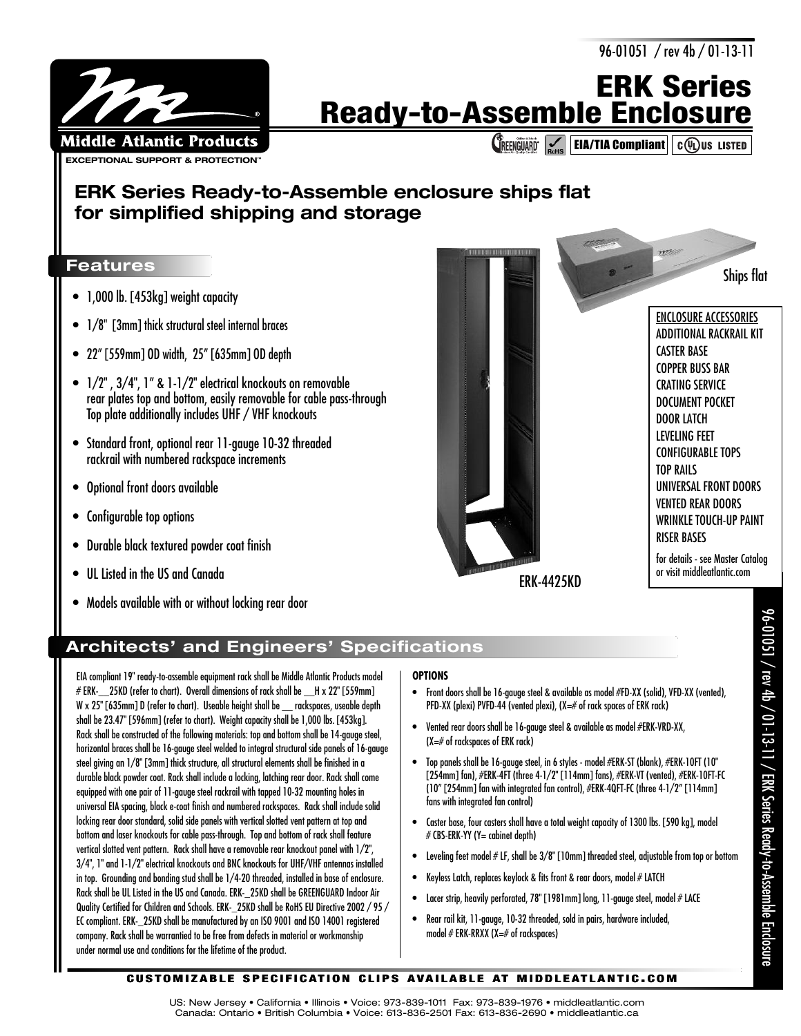96-01051 / rev 4b / 01-13-11



# **ERK Series Ready-to-Assemble Enclosure**

**CREENGUARD EIA/TIA Compliant**  $c(\overline{\psi_L})$ us Listed

## **ERK Series Ready-to-Assemble enclosure ships flat for simplified shipping and storage**

### **Features**

- 1,000 lb. [453kg] weight capacity
- 1/8" [3mm] thick structural steel internal braces
- 22" [559mm] OD width, 25" [635mm] OD depth
- 1/2" , 3/4", 1" & 1-1/2" electrical knockouts on removable rear plates top and bottom, easily removable for cable pass-through Top plate additionally includes UHF / VHF knockouts
- Standard front, optional rear 11-gauge 10-32 threaded rackrail with numbered rackspace increments
- Optional front doors available
- Configurable top options
- Durable black textured powder coat finish
- UL Listed in the US and Canada
- Models available with or without locking rear door



### **Architects' and Engineers' Specifications**

EIA compliant 19" ready-to-assemble equipment rack shall be Middle Atlantic Products model  $# ERK-25KD$  (refer to chart). Overall dimensions of rack shall be  $-H \times 22"$  [559mm] W x 25" [635mm] D (refer to chart). Useable height shall be \_\_ rackspaces, useable depth shall be 23.47" [596mm] (refer to chart). Weight capacity shall be 1,000 lbs. [453kg]. Rack shall be constructed of the following materials: top and bottom shall be 14-gauge steel, horizontal braces shall be 16-gauge steel welded to integral structural side panels of 16-gauge steel giving an 1/8" [3mm] thick structure, all structural elements shall be finished in a durable black powder coat. Rack shall include a locking, latching rear door. Rack shall come equipped with one pair of 11-gauge steel rackrail with tapped 10-32 mounting holes in universal EIA spacing, black e-coat finish and numbered rackspaces. Rack shall include solid locking rear door standard, solid side panels with vertical slotted vent pattern at top and bottom and laser knockouts for cable pass-through. Top and bottom of rack shall feature vertical slotted vent pattern. Rack shall have a removable rear knockout panel with 1/2", 3/4", 1" and 1-1/2" electrical knockouts and BNC knockouts for UHF/VHF antennas installed in top. Grounding and bonding stud shall be 1/4-20 threaded, installed in base of enclosure. Rack shall be UL Listed in the US and Canada. ERK-\_25KD shall be GREENGUARD Indoor Air Quality Certified for Children and Schools. ERK-\_25KD shall be RoHS EU Directive 2002 / 95 / EC compliant. ERK-\_25KD shall be manufactured by an ISO 9001 and ISO 14001 registered company. Rack shall be warrantied to be free from defects in material or workmanship under normal use and conditions for the lifetime of the product.

#### **OPTIONS**

- Front doors shall be 16-gauge steel & available as model #FD-XX (solid), VFD-XX (vented), PFD-XX (plexi) PVFD-44 (vented plexi), (X=# of rack spaces of ERK rack)
- Vented rear doors shall be 16-gauge steel & available as model #ERK-VRD-XX, (X=# of rackspaces of ERK rack)
- Top panels shall be 16-gauge steel, in 6 styles model #ERK-ST (blank), #ERK-10FT (10" [254mm] fan), #ERK-4FT (three 4-1/2" [114mm] fans), #ERK-VT (vented), #ERK-10FT-FC (10" [254mm] fan with integrated fan control), #ERK-4QFT-FC (three 4-1/2" [114mm] fans with integrated fan control)
- Caster base, four casters shall have a total weight capacity of 1300 lbs. [590 kg], model # CBS-ERK-YY (Y= cabinet depth)
- Leveling feet model # LF, shall be 3/8" [10mm] threaded steel, adjustable from top or bottom
- Keyless Latch, replaces keylock & fits front & rear doors, model  $\#$  LATCH
- Lacer strip, heavily perforated, 78" [1981mm] long, 11-gauge steel, model # LACE
- Rear rail kit, 11-gauge, 10-32 threaded, sold in pairs, hardware included, model # ERK-RRXX (X=# of rackspaces)

#### **CUSTOMIZABLE SPECIFICATION CLIPS AVAILABLE AT MIDDLEATLANTIC.COM**

US: New Jersey • California • Illinois • Voice: 973-839-1011 Fax: 973-839-1976 • middleatlantic.com Canada: Ontario • British Columbia • Voice: 613-836-2501 Fax: 613-836-2690 • middleatlantic.ca